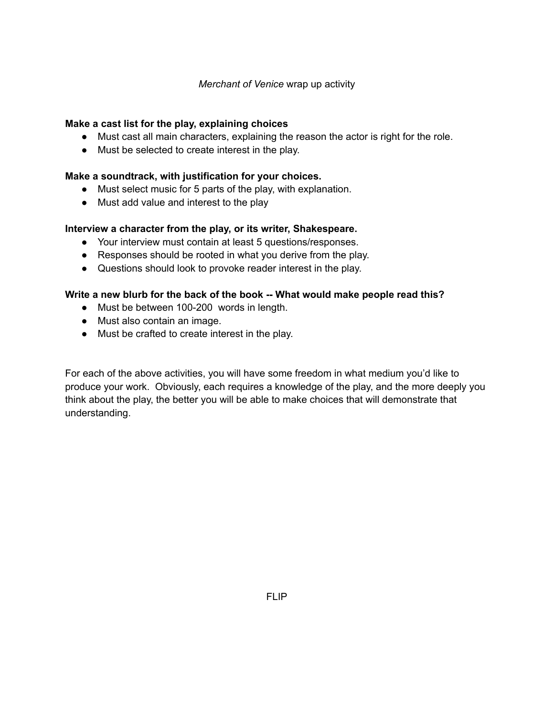## *Merchant of Venice* wrap up activity

## **Make a cast list for the play, explaining choices**

- Must cast all main characters, explaining the reason the actor is right for the role.
- Must be selected to create interest in the play.

### **Make a soundtrack, with justification for your choices.**

- Must select music for 5 parts of the play, with explanation.
- Must add value and interest to the play

#### **Interview a character from the play, or its writer, Shakespeare.**

- Your interview must contain at least 5 questions/responses.
- Responses should be rooted in what you derive from the play.
- Questions should look to provoke reader interest in the play.

#### **Write a new blurb for the back of the book -- What would make people read this?**

- Must be between 100-200 words in length.
- Must also contain an image.
- Must be crafted to create interest in the play.

For each of the above activities, you will have some freedom in what medium you'd like to produce your work. Obviously, each requires a knowledge of the play, and the more deeply you think about the play, the better you will be able to make choices that will demonstrate that understanding.